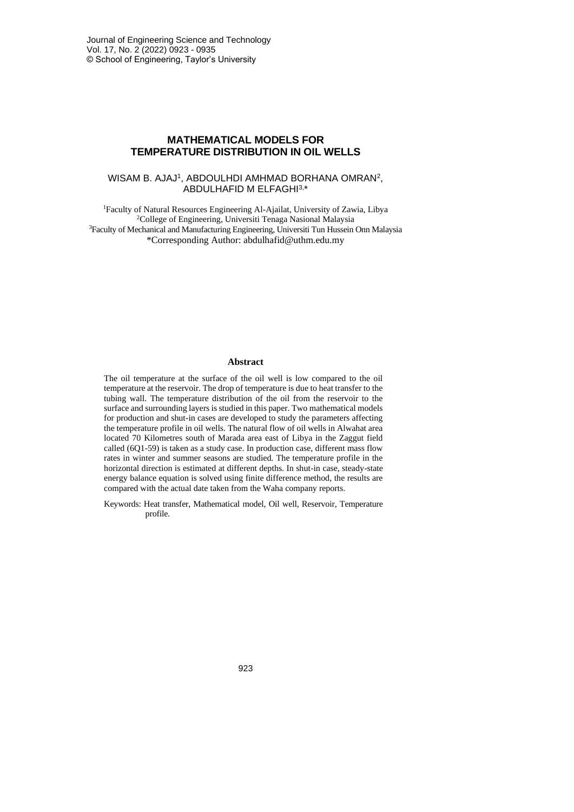# **MATHEMATICAL MODELS FOR TEMPERATURE DISTRIBUTION IN OIL WELLS**

### WISAM B. AJAJ<sup>1</sup>, ABDOULHDI AMHMAD BORHANA OMRAN<sup>2</sup>, ABDULHAFID M ELFAGHI3, \*

<sup>1</sup>Faculty of Natural Resources Engineering Al-Ajailat, University of Zawia, Libya <sup>2</sup>College of Engineering, Universiti Tenaga Nasional Malaysia <sup>3</sup>Faculty of Mechanical and Manufacturing Engineering, Universiti Tun Hussein Onn Malaysia \*Corresponding Author: abdulhafid@uthm.edu.my

#### **Abstract**

The oil temperature at the surface of the oil well is low compared to the oil temperature at the reservoir. The drop of temperature is due to heat transfer to the tubing wall. The temperature distribution of the oil from the reservoir to the surface and surrounding layers is studied in this paper. Two mathematical models for production and shut-in cases are developed to study the parameters affecting the temperature profile in oil wells. The natural flow of oil wells in Alwahat area located 70 Kilometres south of Marada area east of Libya in the Zaggut field called (6Q1-59) is taken as a study case. In production case, different mass flow rates in winter and summer seasons are studied. The temperature profile in the horizontal direction is estimated at different depths. In shut-in case, steady-state energy balance equation is solved using finite difference method, the results are compared with the actual date taken from the Waha company reports.

Keywords: Heat transfer, Mathematical model, Oil well, Reservoir, Temperature profile.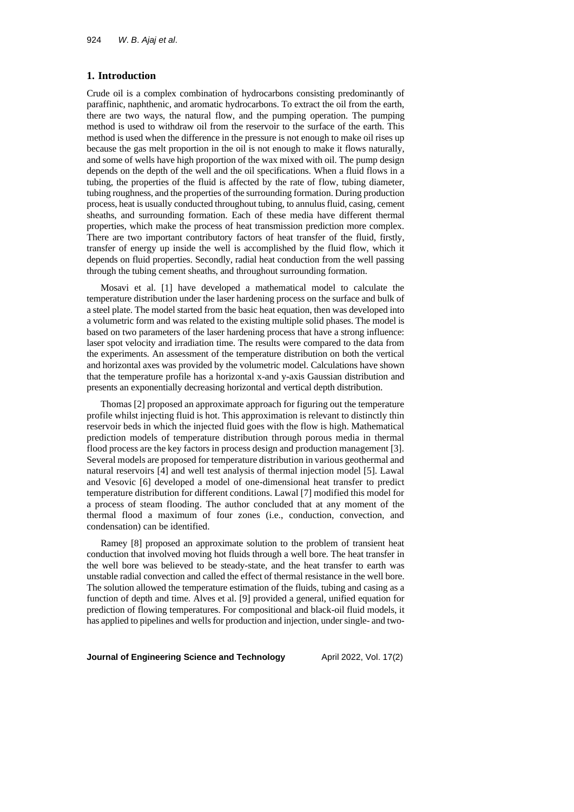### **1. Introduction**

Crude oil is a complex combination of hydrocarbons consisting predominantly of paraffinic, naphthenic, and aromatic hydrocarbons. To extract the oil from the earth, there are two ways, the natural flow, and the pumping operation. The pumping method is used to withdraw oil from the reservoir to the surface of the earth. This method is used when the difference in the pressure is not enough to make oil rises up because the gas melt proportion in the oil is not enough to make it flows naturally, and some of wells have high proportion of the wax mixed with oil. The pump design depends on the depth of the well and the oil specifications. When a fluid flows in a tubing, the properties of the fluid is affected by the rate of flow, tubing diameter, tubing roughness, and the properties of the surrounding formation. During production process, heat is usually conducted throughout tubing, to annulus fluid, casing, cement sheaths, and surrounding formation. Each of these media have different thermal properties, which make the process of heat transmission prediction more complex. There are two important contributory factors of heat transfer of the fluid, firstly, transfer of energy up inside the well is accomplished by the fluid flow, which it depends on fluid properties. Secondly, radial heat conduction from the well passing through the tubing cement sheaths, and throughout surrounding formation.

Mosavi et al. [1] have developed a mathematical model to calculate the temperature distribution under the laser hardening process on the surface and bulk of a steel plate. The model started from the basic heat equation, then was developed into a volumetric form and was related to the existing multiple solid phases. The model is based on two parameters of the laser hardening process that have a strong influence: laser spot velocity and irradiation time. The results were compared to the data from the experiments. An assessment of the temperature distribution on both the vertical and horizontal axes was provided by the volumetric model. Calculations have shown that the temperature profile has a horizontal x-and y-axis Gaussian distribution and presents an exponentially decreasing horizontal and vertical depth distribution.

Thomas [2] proposed an approximate approach for figuring out the temperature profile whilst injecting fluid is hot. This approximation is relevant to distinctly thin reservoir beds in which the injected fluid goes with the flow is high. Mathematical prediction models of temperature distribution through porous media in thermal flood process are the key factors in process design and production management [3]. Several models are proposed for temperature distribution in various geothermal and natural reservoirs [4] and well test analysis of thermal injection model [5]. Lawal and Vesovic [6] developed a model of one-dimensional heat transfer to predict temperature distribution for different conditions. Lawal [7] modified this model for a process of steam flooding. The author concluded that at any moment of the thermal flood a maximum of four zones (i.e., conduction, convection, and condensation) can be identified.

Ramey [8] proposed an approximate solution to the problem of transient heat conduction that involved moving hot fluids through a well bore. The heat transfer in the well bore was believed to be steady-state, and the heat transfer to earth was unstable radial convection and called the effect of thermal resistance in the well bore. The solution allowed the temperature estimation of the fluids, tubing and casing as a function of depth and time. Alves et al. [9] provided a general, unified equation for prediction of flowing temperatures. For compositional and black-oil fluid models, it has applied to pipelines and wells for production and injection, under single- and two-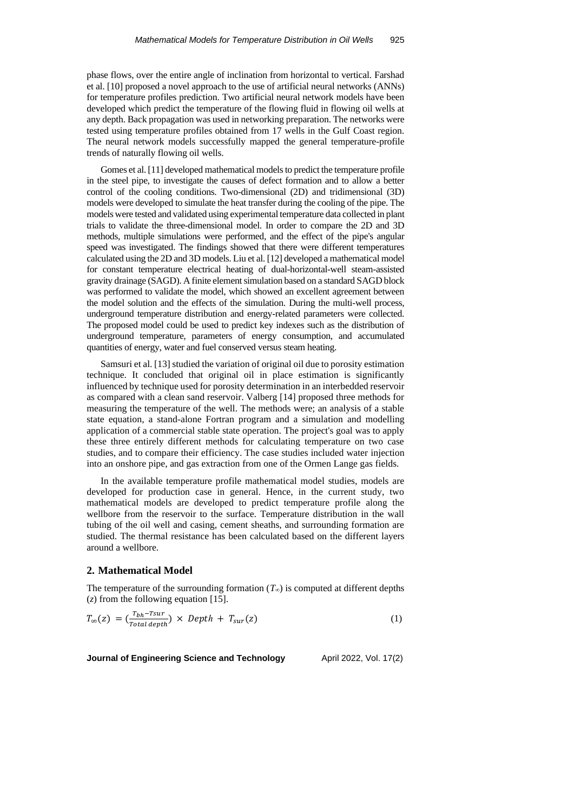phase flows, over the entire angle of inclination from horizontal to vertical. Farshad et al. [10] proposed a novel approach to the use of artificial neural networks (ANNs) for temperature profiles prediction. Two artificial neural network models have been developed which predict the temperature of the flowing fluid in flowing oil wells at any depth. Back propagation was used in networking preparation. The networks were tested using temperature profiles obtained from 17 wells in the Gulf Coast region. The neural network models successfully mapped the general temperature-profile trends of naturally flowing oil wells.

Gomes et al. [11] developed mathematical models to predict the temperature profile in the steel pipe, to investigate the causes of defect formation and to allow a better control of the cooling conditions. Two-dimensional (2D) and tridimensional (3D) models were developed to simulate the heat transfer during the cooling of the pipe. The models were tested and validated using experimental temperature data collected in plant trials to validate the three-dimensional model. In order to compare the 2D and 3D methods, multiple simulations were performed, and the effect of the pipe's angular speed was investigated. The findings showed that there were different temperatures calculated using the 2D and 3D models. Liu et al. [12] developed a mathematical model for constant temperature electrical heating of dual-horizontal-well steam-assisted gravity drainage (SAGD). A finite element simulation based on a standard SAGD block was performed to validate the model, which showed an excellent agreement between the model solution and the effects of the simulation. During the multi-well process, underground temperature distribution and energy-related parameters were collected. The proposed model could be used to predict key indexes such as the distribution of underground temperature, parameters of energy consumption, and accumulated quantities of energy, water and fuel conserved versus steam heating.

Samsuri et al. [13] studied the variation of original oil due to porosity estimation technique. It concluded that original oil in place estimation is significantly influenced by technique used for porosity determination in an interbedded reservoir as compared with a clean sand reservoir. Valberg [14] proposed three methods for measuring the temperature of the well. The methods were; an analysis of a stable state equation, a stand-alone Fortran program and a simulation and modelling application of a commercial stable state operation. The project's goal was to apply these three entirely different methods for calculating temperature on two case studies, and to compare their efficiency. The case studies included water injection into an onshore pipe, and gas extraction from one of the Ormen Lange gas fields.

In the available temperature profile mathematical model studies, models are developed for production case in general. Hence, in the current study, two mathematical models are developed to predict temperature profile along the wellbore from the reservoir to the surface. Temperature distribution in the wall tubing of the oil well and casing, cement sheaths, and surrounding formation are studied. The thermal resistance has been calculated based on the different layers around a wellbore.

## **2. Mathematical Model**

The temperature of the surrounding formation  $(T_\infty)$  is computed at different depths (*z*) from the following equation [15].

$$
T_{\infty}(z) = \left(\frac{r_{bh} - r_{sur}}{Total\ depth}\right) \times Depth + T_{sur}(z)
$$
\n(1)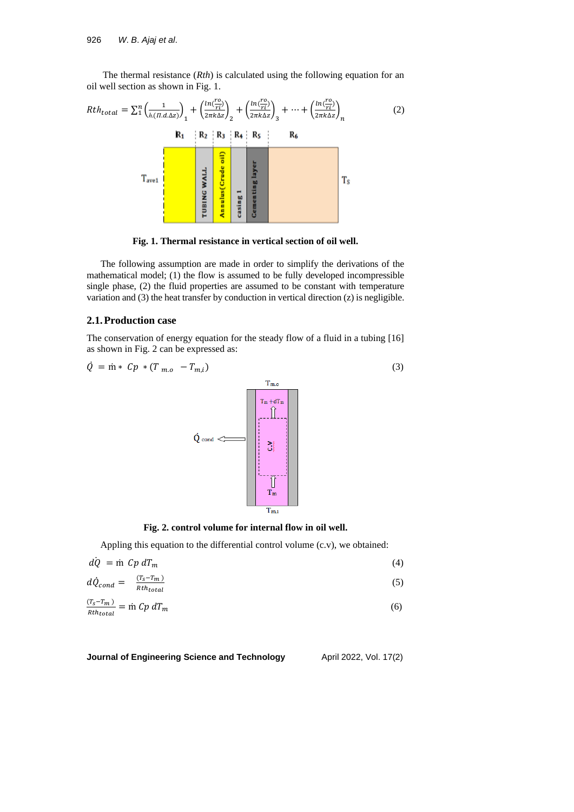The thermal resistance (*Rth*) is calculated using the following equation for an oil well section as shown in Fig. 1.



**Fig. 1. Thermal resistance in vertical section of oil well.**

The following assumption are made in order to simplify the derivations of the mathematical model; (1) the flow is assumed to be fully developed incompressible single phase, (2) the fluid properties are assumed to be constant with temperature variation and (3) the heat transfer by conduction in vertical direction (z) is negligible.

### **2.1.Production case**

The conservation of energy equation for the steady flow of a fluid in a tubing [16] as shown in Fig. 2 can be expressed as:

$$
\dot{Q} = \dot{m} * Cp * (T_{m.o} - T_{m,i})
$$
\n
$$
\dot{Q}_{cond} \leftarrow
$$
\n
$$
\dot{Q}_{cond}
$$
\n
$$
\frac{T_{m+dT_{m}}}{T_{m}}
$$
\n
$$
\frac{T_{m+dT_{m}}}{T_{m}}
$$
\n
$$
\frac{T_{m}}{T_{m,i}}
$$
\n(3)

**Fig. 2. control volume for internal flow in oil well.**

Appling this equation to the differential control volume (c.v), we obtained:

| $d\dot{Q} = \dot{m} Cp dT_m$                   |               |  |
|------------------------------------------------|---------------|--|
| $d\dot{Q}_{cond} = \frac{(T_s - T_m)}{R_{th}}$ | $Rth_{total}$ |  |

$$
\frac{(T_s - T_m)}{Rth_{total}} = \text{in } Cp \, dT_m \tag{6}
$$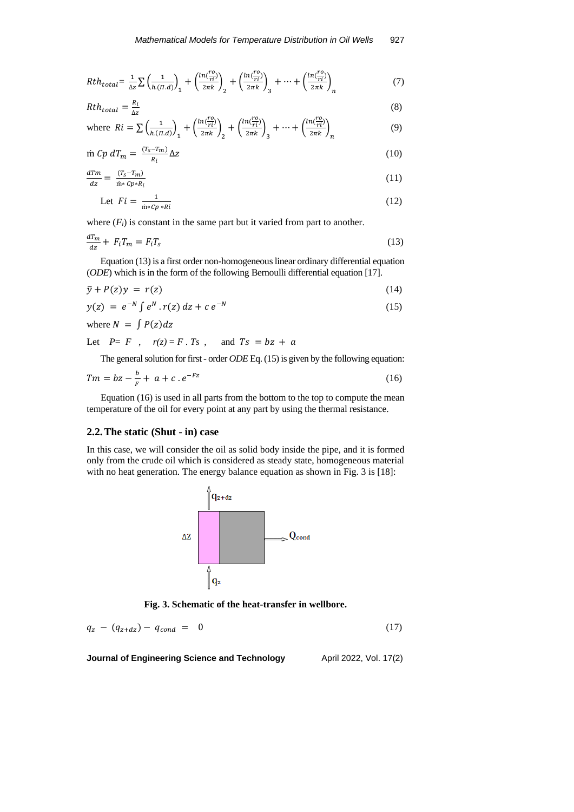$$
Rth_{total} = \frac{1}{\Delta z} \sum \left( \frac{1}{h_{\cdot}(T,d)} \right)_1 + \left( \frac{ln(\frac{r_0}{r_i})}{2\pi k} \right)_2 + \left( \frac{ln(\frac{r_0}{r_i})}{2\pi k} \right)_3 + \dots + \left( \frac{ln(\frac{r_0}{r_i})}{2\pi k} \right)_n \tag{7}
$$

$$
Rth_{total} = \frac{R_i}{\Delta z} \tag{8}
$$

where 
$$
Ri = \sum \left(\frac{1}{h.(n.d)}\right)_1 + \left(\frac{ln\left(\frac{r_0}{r_1}\right)}{2\pi k}\right)_2 + \left(\frac{ln\left(\frac{r_0}{r_1}\right)}{2\pi k}\right)_3 + \dots + \left(\frac{ln\left(\frac{r_0}{r_1}\right)}{2\pi k}\right)_n
$$
 (9)

$$
\dot{\mathbf{m}} \ Cp \ dT_m = \frac{(T_s - T_m)}{R_i} \Delta z \tag{10}
$$

$$
\frac{d\mathcal{T}m}{dz} = \frac{(\mathcal{T}_s - \mathcal{T}_m)}{\dot{\mathfrak{m}} \cdot c \, \mathcal{D} \cdot \mathcal{R}_i} \tag{11}
$$

$$
\text{Let } Fi = \frac{1}{\dot{m} \cdot c p \cdot R i} \tag{12}
$$

where  $(F_i)$  is constant in the same part but it varied from part to another.

$$
\frac{d^T m}{dz} + F_i T_m = F_i T_s \tag{13}
$$

Equation (13) is a first order non-homogeneous linear ordinary differential equation (*ODE*) which is in the form of the following Bernoulli differential equation [17].

$$
\bar{y} + P(z)y = r(z) \tag{14}
$$

$$
y(z) = e^{-N} \int e^N \cdot r(z) \, dz + c \, e^{-N} \tag{15}
$$

where  $N = \int P(z) dz$ 

Let  $P = F$ ,  $r(z) = F \cdot Ts$ , and  $Ts = bz + a$ 

The general solution for first - order *ODE* Eq. (15) is given by the following equation:

$$
Tm = bz - \frac{b}{F} + a + c \cdot e^{-Fz} \tag{16}
$$

Equation (16) is used in all parts from the bottom to the top to compute the mean temperature of the oil for every point at any part by using the thermal resistance.

### **2.2.The static (Shut - in) case**

In this case, we will consider the oil as solid body inside the pipe, and it is formed only from the crude oil which is considered as steady state, homogeneous material with no heat generation. The energy balance equation as shown in Fig. 3 is [18]:



**Fig. 3. Schematic of the heat-transfer in wellbore.**

$$
q_z - (q_{z+dz}) - q_{cond} = 0 \tag{17}
$$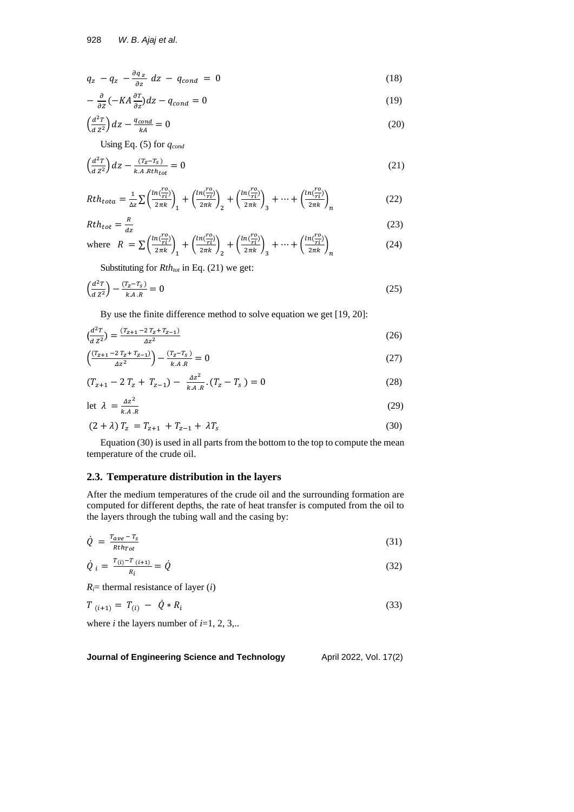$$
q_z - q_z - \frac{\partial q_z}{\partial z} dz - q_{cond} = 0 \tag{18}
$$

$$
-\frac{\partial}{\partial z}(-KA\frac{\partial T}{\partial z})dz - q_{cond} = 0\tag{19}
$$

$$
\left(\frac{d^2T}{dz^2}\right)dz - \frac{q_{cond}}{kA} = 0\tag{20}
$$

Using Eq. (5) for *qcond*

$$
\left(\frac{d^2T}{dz^2}\right)dz - \frac{(T_z - T_S)}{k.A. Rth_{tot}} = 0\tag{21}
$$

$$
Rth_{tota} = \frac{1}{\Delta z} \sum \left( \frac{ln(\frac{r_0}{r_i})}{2\pi k} \right)_1 + \left( \frac{ln(\frac{r_0}{r_i})}{2\pi k} \right)_2 + \left( \frac{ln(\frac{r_0}{r_i})}{2\pi k} \right)_3 + \dots + \left( \frac{ln(\frac{r_0}{r_i})}{2\pi k} \right)_n \tag{22}
$$

$$
Rth_{tot} = \frac{R}{dz} \tag{23}
$$

where 
$$
R = \sum \left(\frac{\ln(\frac{r_0}{r_1})}{2\pi k}\right)_1 + \left(\frac{\ln(\frac{r_0}{r_1})}{2\pi k}\right)_2 + \left(\frac{\ln(\frac{r_0}{r_1})}{2\pi k}\right)_3 + \dots + \left(\frac{\ln(\frac{r_0}{r_1})}{2\pi k}\right)_n
$$
 (24)

Substituting for *Rthtot* in Eq. (21) we get:

$$
\left(\frac{d^2T}{dz^2}\right) - \frac{(T_z - T_s)}{k.A.R} = 0\tag{25}
$$

By use the finite difference method to solve equation we get [19, 20]:

$$
\left(\frac{d^2T}{dz^2}\right) = \frac{(T_{Z+1} - 2T_Z + T_{Z-1})}{\Delta z^2} \tag{26}
$$

$$
\left(\frac{(T_{Z+1} - 2T_Z + T_{Z-1})}{\Delta Z^2}\right) - \frac{(T_Z - T_S)}{k.A.R} = 0\tag{27}
$$

$$
(T_{z+1} - 2T_z + T_{z-1}) - \frac{\Delta z^2}{k.A.R} \cdot (T_z - T_s) = 0 \tag{28}
$$

$$
\det \lambda = \frac{\Delta z^2}{k A.R} \tag{29}
$$

$$
(2 + \lambda) T_z = T_{z+1} + T_{z-1} + \lambda T_s \tag{30}
$$

Equation (30) is used in all parts from the bottom to the top to compute the mean temperature of the crude oil.

# **2.3. Temperature distribution in the layers**

After the medium temperatures of the crude oil and the surrounding formation are computed for different depths, the rate of heat transfer is computed from the oil to the layers through the tubing wall and the casing by:

$$
\dot{Q} = \frac{T_{ave} - T_S}{Rth_{Tot}} \tag{31}
$$

$$
\dot{Q}_i = \frac{T_{(i)} - T_{(i+1)}}{R_i} = \dot{Q}
$$
\n(32)

 $R_i$ = thermal resistance of layer (*i*)

$$
T_{(i+1)} = T_{(i)} - \dot{Q} * R_i \tag{33}
$$

where *i* the layers number of  $i=1, 2, 3, ...$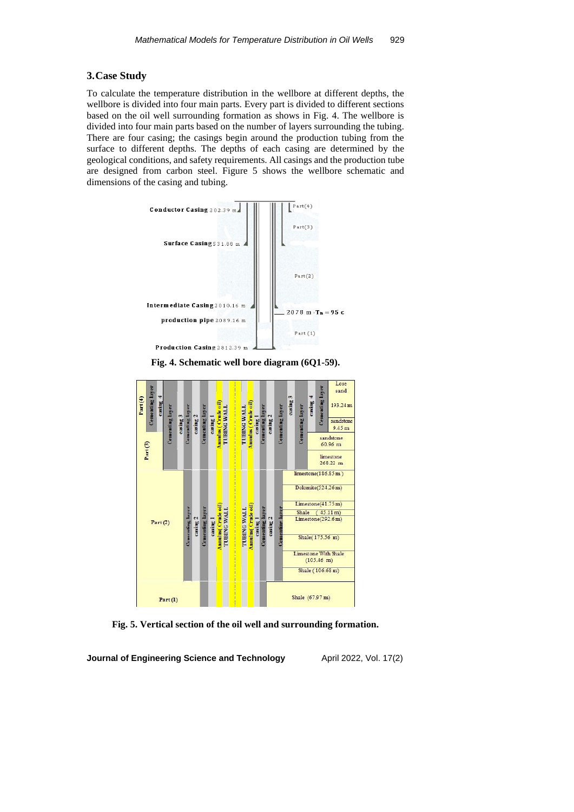### **3.Case Study**

To calculate the temperature distribution in the wellbore at different depths, the wellbore is divided into four main parts. Every part is divided to different sections based on the oil well surrounding formation as shows in Fig. 4. The wellbore is divided into four main parts based on the number of layers surrounding the tubing. There are four casing; the casings begin around the production tubing from the surface to different depths. The depths of each casing are determined by the geological conditions, and safety requirements. All casings and the production tube are designed from carbon steel. Figure 5 shows the wellbore schematic and dimensions of the casing and tubing.



**Fig. 4. Schematic well bore diagram (6Q1-59).**



**Fig. 5. Vertical section of the oil well and surrounding formation.**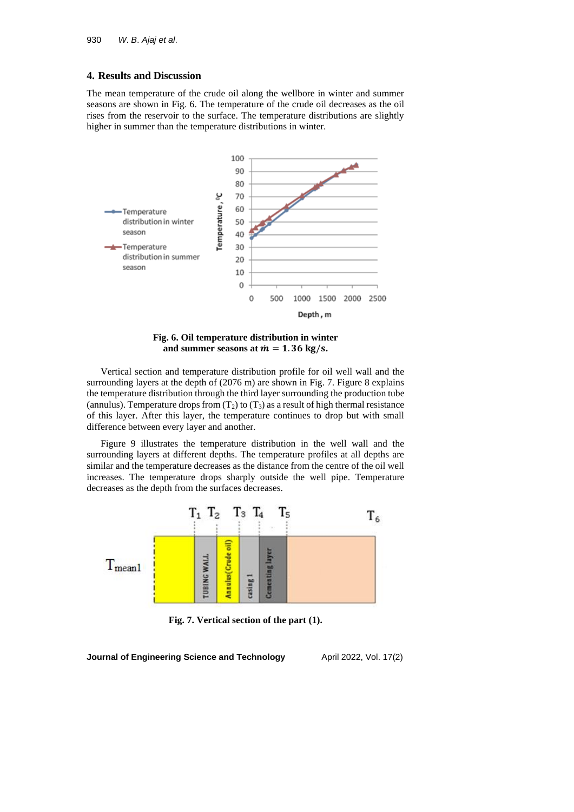### **4. Results and Discussion**

The mean temperature of the crude oil along the wellbore in winter and summer seasons are shown in Fig. 6. The temperature of the crude oil decreases as the oil rises from the reservoir to the surface. The temperature distributions are slightly higher in summer than the temperature distributions in winter.



**Fig. 6. Oil temperature distribution in winter**  and summer seasons at  $m = 1.36$  kg/s.

Vertical section and temperature distribution profile for oil well wall and the surrounding layers at the depth of (2076 m) are shown in Fig. 7. Figure 8 explains the temperature distribution through the third layer surrounding the production tube (annulus). Temperature drops from  $(T_2)$  to  $(T_3)$  as a result of high thermal resistance of this layer. After this layer, the temperature continues to drop but with small difference between every layer and another.

Figure 9 illustrates the temperature distribution in the well wall and the surrounding layers at different depths. The temperature profiles at all depths are similar and the temperature decreases as the distance from the centre of the oil well increases. The temperature drops sharply outside the well pipe. Temperature decreases as the depth from the surfaces decreases.



**Fig. 7. Vertical section of the part (1).**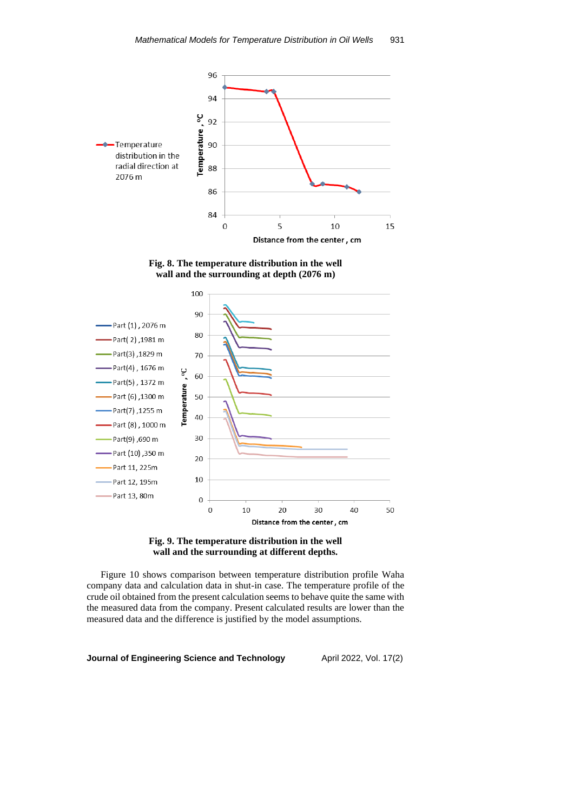

**Fig. 8. The temperature distribution in the well wall and the surrounding at depth (2076 m)**





Figure 10 shows comparison between temperature distribution profile Waha company data and calculation data in shut-in case. The temperature profile of the crude oil obtained from the present calculation seems to behave quite the same with the measured data from the company. Present calculated results are lower than the measured data and the difference is justified by the model assumptions.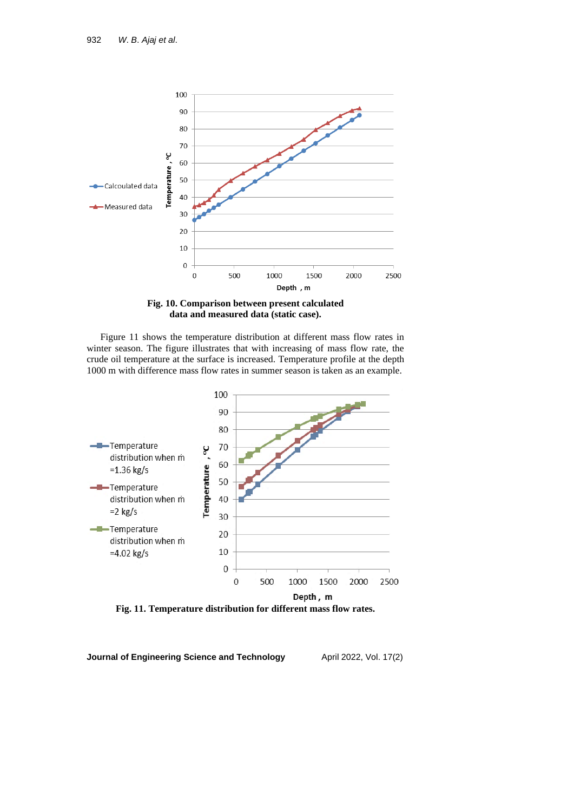

**Fig. 10. Comparison between present calculated data and measured data (static case).**

Figure 11 shows the temperature distribution at different mass flow rates in winter season. The figure illustrates that with increasing of mass flow rate, the crude oil temperature at the surface is increased. Temperature profile at the depth 1000 m with difference mass flow rates in summer season is taken as an example.

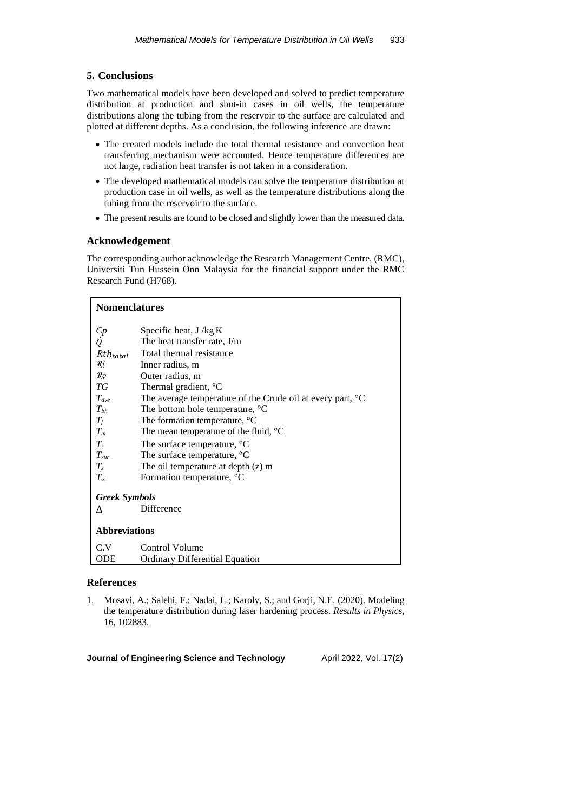# **5. Conclusions**

Two mathematical models have been developed and solved to predict temperature distribution at production and shut-in cases in oil wells, the temperature distributions along the tubing from the reservoir to the surface are calculated and plotted at different depths. As a conclusion, the following inference are drawn:

- The created models include the total thermal resistance and convection heat transferring mechanism were accounted. Hence temperature differences are not large, radiation heat transfer is not taken in a consideration.
- The developed mathematical models can solve the temperature distribution at production case in oil wells, as well as the temperature distributions along the tubing from the reservoir to the surface.
- The present results are found to be closed and slightly lower than the measured data.

# **Acknowledgement**

The corresponding author acknowledge the Research Management Centre, (RMC), Universiti Tun Hussein Onn Malaysia for the financial support under the RMC Research Fund (H768).

| <b>Nomenclatures</b> |                                                                      |  |
|----------------------|----------------------------------------------------------------------|--|
|                      | Specific heat, J /kg K                                               |  |
| Cp<br>Q              | The heat transfer rate, J/m                                          |  |
| $Rth_{total}$        | Total thermal resistance                                             |  |
| Ri                   | Inner radius, m                                                      |  |
| Ro                   | Outer radius, m                                                      |  |
| TG                   | Thermal gradient, <sup>o</sup> C                                     |  |
| $T_{ave}$            | The average temperature of the Crude oil at every part, $\mathrm{C}$ |  |
| $T_{bh}$             | The bottom hole temperature, $^{\circ}C$                             |  |
| $T_f$                | The formation temperature, °C                                        |  |
| $T_m$                | The mean temperature of the fluid, $^{\circ}C$                       |  |
| $T_{s}$              | The surface temperature, °C                                          |  |
| $T_{sur}$            | The surface temperature, °C                                          |  |
| $T_z$                | The oil temperature at depth $(z)$ m                                 |  |
| $T_{\infty}$         | Formation temperature, °C                                            |  |
| <b>Greek Symbols</b> |                                                                      |  |
| Δ                    | Difference                                                           |  |
| <b>Abbreviations</b> |                                                                      |  |
| C.V                  | Control Volume                                                       |  |
| ODE                  | <b>Ordinary Differential Equation</b>                                |  |

# **References**

1. Mosavi, A.; Salehi, F.; Nadai, L.; Karoly, S.; and Gorji, N.E. (2020). Modeling the temperature distribution during laser hardening process. *Results in Physics*, 16, 102883.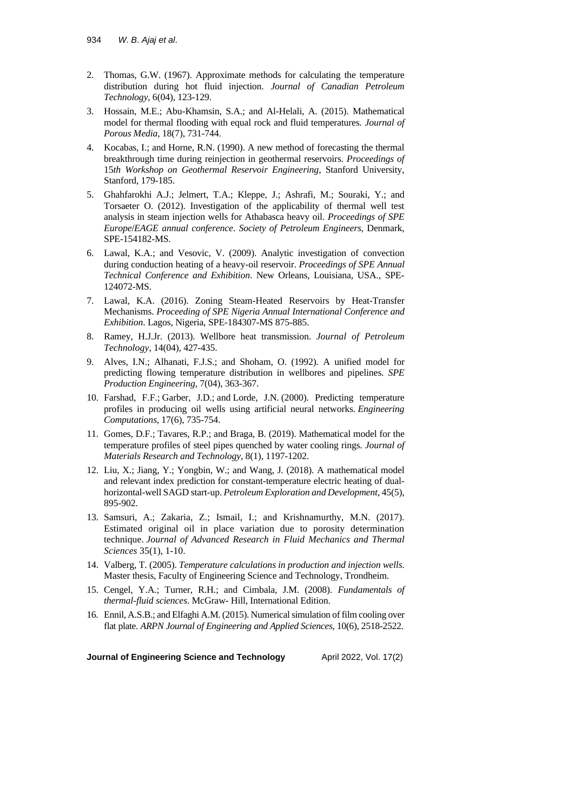- 2. Thomas, G.W. (1967). Approximate methods for calculating the temperature distribution during hot fluid injection. *Journal of Canadian Petroleum Technology*, 6(04), 123-129.
- 3. Hossain, M.E.; Abu-Khamsin, S.A.; and Al-Helali, A. (2015). Mathematical model for thermal flooding with equal rock and fluid temperatures. *Journal of Porous Media*, 18(7), 731-744.
- 4. Kocabas, I.; and Horne, R.N. (1990). A new method of forecasting the thermal breakthrough time during reinjection in geothermal reservoirs. *Proceedings of* 15*th Workshop on Geothermal Reservoir Engineering*, Stanford University, Stanford, 179-185.
- 5. Ghahfarokhi A.J.; Jelmert, T.A.; Kleppe, J.; Ashrafi, M.; Souraki, Y.; and Torsaeter O. (2012). Investigation of the applicability of thermal well test analysis in steam injection wells for Athabasca heavy oil. *Proceedings of SPE Europe*/*EAGE annual conference*. *Society of Petroleum Engineers*, Denmark, SPE-154182-MS.
- 6. Lawal, K.A.; and Vesovic, V. (2009). Analytic investigation of convection during conduction heating of a heavy-oil reservoir. *Proceedings of SPE Annual Technical Conference and Exhibition*. New Orleans, Louisiana, USA., SPE-124072-MS.
- 7. Lawal, K.A. (2016). Zoning Steam-Heated Reservoirs by Heat-Transfer Mechanisms. *Proceeding of SPE Nigeria Annual International Conference and Exhibition*. Lagos, Nigeria, SPE-184307-MS 875-885.
- 8. Ramey, H.J.Jr. (2013). Wellbore heat transmission. *Journal of Petroleum Technology*, 14(04), 427-435.
- 9. Alves, I.N.; Alhanati, F.J.S.; and Shoham, O. (1992). A unified model for predicting flowing temperature distribution in wellbores and pipelines. *SPE Production Engineering*, 7(04), 363-367.
- 10. Farshad, F.F.; Garber, J.D.; and Lorde, J.N. (2000). Predicting temperature profiles in producing oil wells using artificial neural networks. *Engineering Computations*, 17(6), 735-754.
- 11. Gomes, D.F.; Tavares, R.P.; and Braga, B. (2019). Mathematical model for the temperature profiles of steel pipes quenched by water cooling rings. *Journal of Materials Research and Technology*, 8(1), 1197-1202.
- 12. Liu, X.; Jiang, Y.; Yongbin, W.; and Wang, J. (2018). A mathematical model and relevant index prediction for constant-temperature electric heating of dualhorizontal-well SAGD start-up. *Petroleum Exploration and Development*, 45(5), 895-902.
- 13. Samsuri, A.; Zakaria, Z.; Ismail, I.; and Krishnamurthy, M.N. (2017). Estimated original oil in place variation due to porosity determination technique. *Journal of Advanced Research in Fluid Mechanics and Thermal Sciences* 35(1), 1-10.
- 14. Valberg, T. (2005). *Temperature calculations in production and injection wells*. Master thesis, Faculty of Engineering Science and Technology, Trondheim.
- 15. Cengel, Y.A.; Turner, R.H.; and Cimbala, J.M. (2008). *Fundamentals of thermal-fluid sciences*. McGraw- Hill, International Edition.
- 16. Ennil, A.S.B.; and Elfaghi A.M. (2015). Numerical simulation of film cooling over flat plate. *ARPN Journal of Engineering and Applied Sciences*, 10(6), 2518-2522.